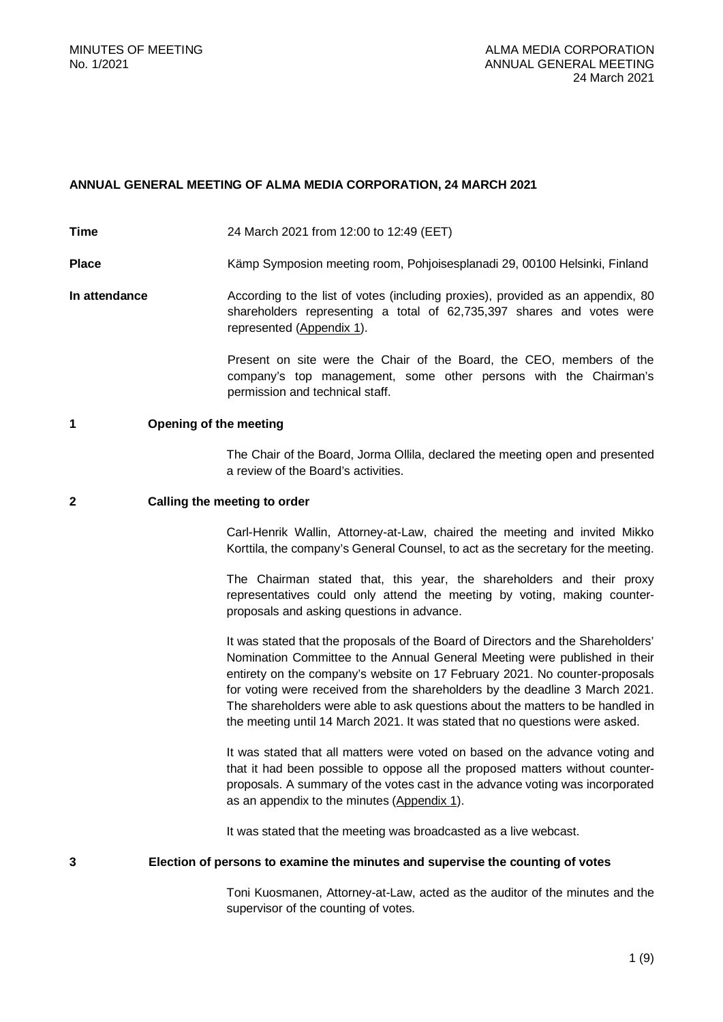# **ANNUAL GENERAL MEETING OF ALMA MEDIA CORPORATION, 24 MARCH 2021**

**Time** 24 March 2021 from 12:00 to 12:49 (EET)

**Place** Kämp Symposion meeting room, Pohjoisesplanadi 29, 00100 Helsinki, Finland

**In attendance** According to the list of votes (including proxies), provided as an appendix, 80 shareholders representing a total of 62,735,397 shares and votes were represented (Appendix 1).

> Present on site were the Chair of the Board, the CEO, members of the company's top management, some other persons with the Chairman's permission and technical staff.

# **1 Opening of the meeting**

The Chair of the Board, Jorma Ollila, declared the meeting open and presented a review of the Board's activities.

### **2 Calling the meeting to order**

Carl-Henrik Wallin, Attorney-at-Law, chaired the meeting and invited Mikko Korttila, the company's General Counsel, to act as the secretary for the meeting.

The Chairman stated that, this year, the shareholders and their proxy representatives could only attend the meeting by voting, making counterproposals and asking questions in advance.

It was stated that the proposals of the Board of Directors and the Shareholders' Nomination Committee to the Annual General Meeting were published in their entirety on the company's website on 17 February 2021. No counter-proposals for voting were received from the shareholders by the deadline 3 March 2021. The shareholders were able to ask questions about the matters to be handled in the meeting until 14 March 2021. It was stated that no questions were asked.

It was stated that all matters were voted on based on the advance voting and that it had been possible to oppose all the proposed matters without counterproposals. A summary of the votes cast in the advance voting was incorporated as an appendix to the minutes (Appendix 1).

It was stated that the meeting was broadcasted as a live webcast.

## **3 Election of persons to examine the minutes and supervise the counting of votes**

Toni Kuosmanen, Attorney-at-Law, acted as the auditor of the minutes and the supervisor of the counting of votes.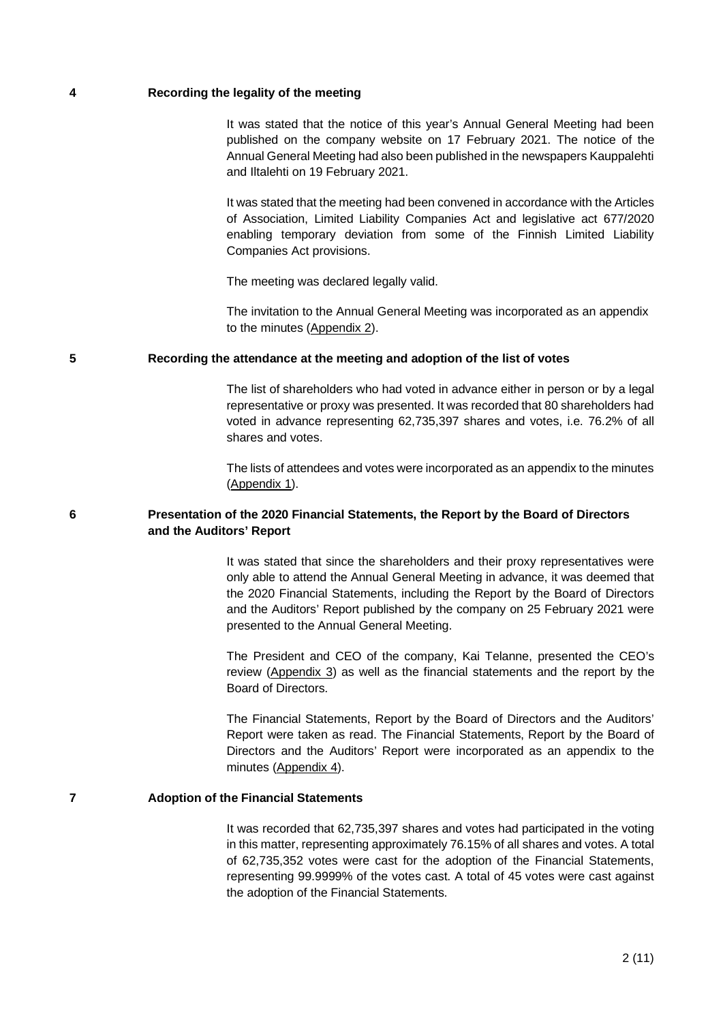### **4 Recording the legality of the meeting**

It was stated that the notice of this year's Annual General Meeting had been published on the company website on 17 February 2021. The notice of the Annual General Meeting had also been published in the newspapers Kauppalehti and Iltalehti on 19 February 2021.

It was stated that the meeting had been convened in accordance with the Articles of Association, Limited Liability Companies Act and legislative act 677/2020 enabling temporary deviation from some of the Finnish Limited Liability Companies Act provisions.

The meeting was declared legally valid.

The invitation to the Annual General Meeting was incorporated as an appendix to the minutes (Appendix 2).

## **5 Recording the attendance at the meeting and adoption of the list of votes**

The list of shareholders who had voted in advance either in person or by a legal representative or proxy was presented. It was recorded that 80 shareholders had voted in advance representing 62,735,397 shares and votes, i.e. 76.2% of all shares and votes.

The lists of attendees and votes were incorporated as an appendix to the minutes (Appendix 1).

# **6 Presentation of the 2020 Financial Statements, the Report by the Board of Directors and the Auditors' Report**

It was stated that since the shareholders and their proxy representatives were only able to attend the Annual General Meeting in advance, it was deemed that the 2020 Financial Statements, including the Report by the Board of Directors and the Auditors' Report published by the company on 25 February 2021 were presented to the Annual General Meeting.

The President and CEO of the company, Kai Telanne, presented the CEO's review (Appendix 3) as well as the financial statements and the report by the Board of Directors.

The Financial Statements, Report by the Board of Directors and the Auditors' Report were taken as read. The Financial Statements, Report by the Board of Directors and the Auditors' Report were incorporated as an appendix to the minutes (Appendix 4).

## **7 Adoption of the Financial Statements**

It was recorded that 62,735,397 shares and votes had participated in the voting in this matter, representing approximately 76.15% of all shares and votes. A total of 62,735,352 votes were cast for the adoption of the Financial Statements, representing 99.9999% of the votes cast. A total of 45 votes were cast against the adoption of the Financial Statements.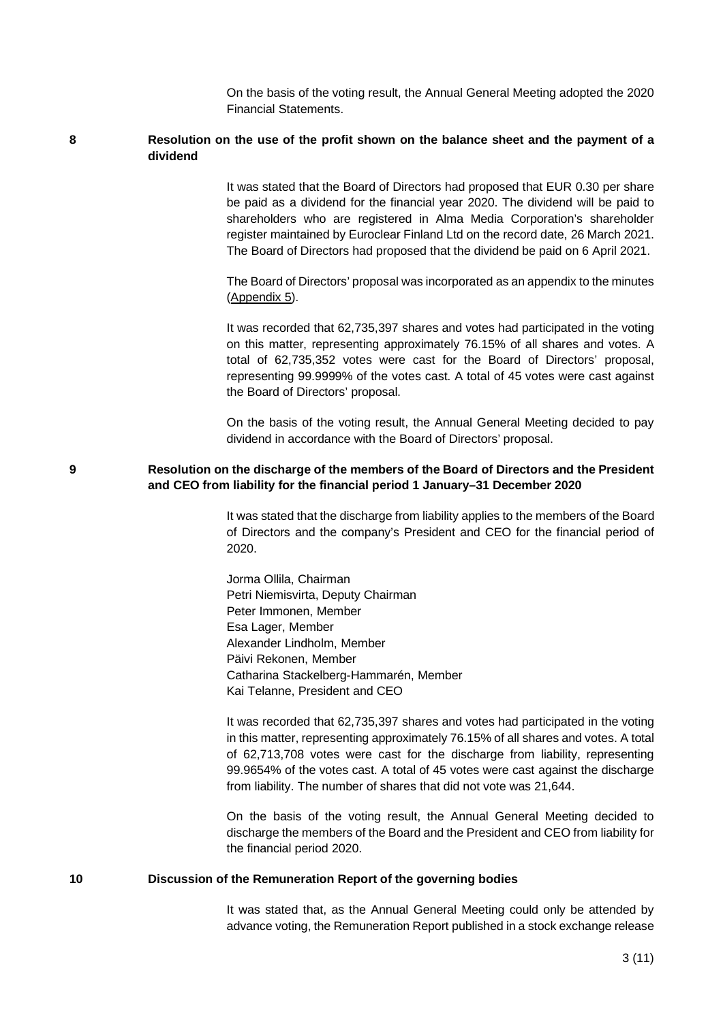On the basis of the voting result, the Annual General Meeting adopted the 2020 Financial Statements.

## **8 Resolution on the use of the profit shown on the balance sheet and the payment of a dividend**

It was stated that the Board of Directors had proposed that EUR 0.30 per share be paid as a dividend for the financial year 2020. The dividend will be paid to shareholders who are registered in Alma Media Corporation's shareholder register maintained by Euroclear Finland Ltd on the record date, 26 March 2021. The Board of Directors had proposed that the dividend be paid on 6 April 2021.

The Board of Directors' proposal was incorporated as an appendix to the minutes (Appendix 5).

It was recorded that 62,735,397 shares and votes had participated in the voting on this matter, representing approximately 76.15% of all shares and votes. A total of 62,735,352 votes were cast for the Board of Directors' proposal, representing 99.9999% of the votes cast. A total of 45 votes were cast against the Board of Directors' proposal.

On the basis of the voting result, the Annual General Meeting decided to pay dividend in accordance with the Board of Directors' proposal.

## **9 Resolution on the discharge of the members of the Board of Directors and the President and CEO from liability for the financial period 1 January–31 December 2020**

It was stated that the discharge from liability applies to the members of the Board of Directors and the company's President and CEO for the financial period of 2020.

Jorma Ollila, Chairman Petri Niemisvirta, Deputy Chairman Peter Immonen, Member Esa Lager, Member Alexander Lindholm, Member Päivi Rekonen, Member Catharina Stackelberg-Hammarén, Member Kai Telanne, President and CEO

It was recorded that 62,735,397 shares and votes had participated in the voting in this matter, representing approximately 76.15% of all shares and votes. A total of 62,713,708 votes were cast for the discharge from liability, representing 99.9654% of the votes cast. A total of 45 votes were cast against the discharge from liability. The number of shares that did not vote was 21,644.

On the basis of the voting result, the Annual General Meeting decided to discharge the members of the Board and the President and CEO from liability for the financial period 2020.

### **10 Discussion of the Remuneration Report of the governing bodies**

It was stated that, as the Annual General Meeting could only be attended by advance voting, the Remuneration Report published in a stock exchange release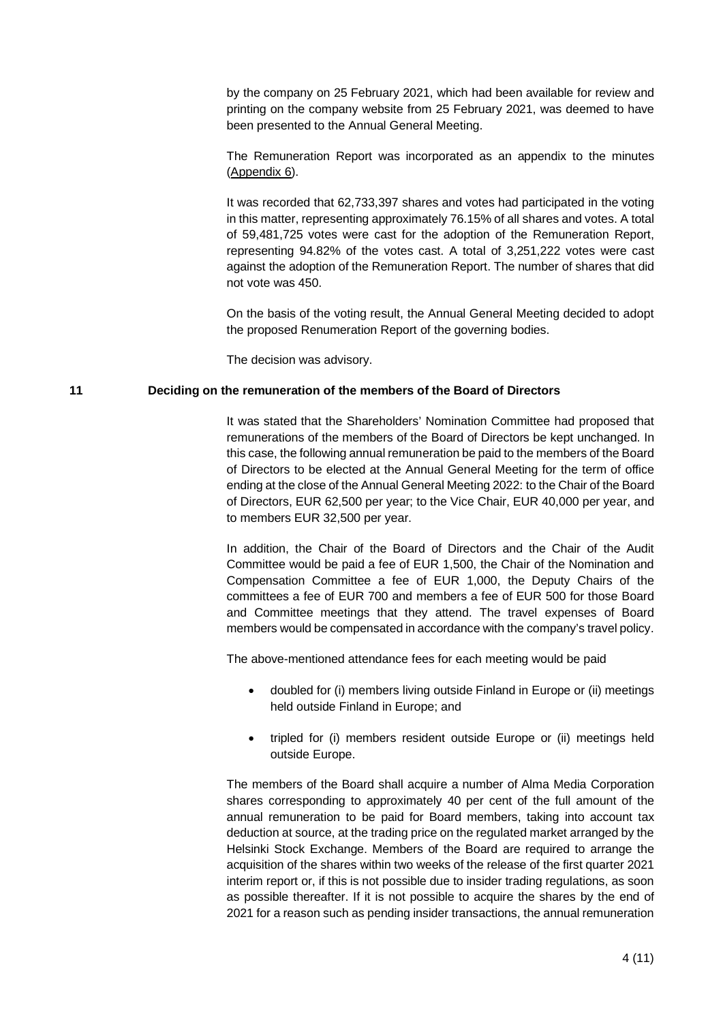by the company on 25 February 2021, which had been available for review and printing on the company website from 25 February 2021, was deemed to have been presented to the Annual General Meeting.

The Remuneration Report was incorporated as an appendix to the minutes (Appendix 6).

It was recorded that 62,733,397 shares and votes had participated in the voting in this matter, representing approximately 76.15% of all shares and votes. A total of 59,481,725 votes were cast for the adoption of the Remuneration Report, representing 94.82% of the votes cast. A total of 3,251,222 votes were cast against the adoption of the Remuneration Report. The number of shares that did not vote was 450.

On the basis of the voting result, the Annual General Meeting decided to adopt the proposed Renumeration Report of the governing bodies.

The decision was advisory.

# **11 Deciding on the remuneration of the members of the Board of Directors**

It was stated that the Shareholders' Nomination Committee had proposed that remunerations of the members of the Board of Directors be kept unchanged. In this case, the following annual remuneration be paid to the members of the Board of Directors to be elected at the Annual General Meeting for the term of office ending at the close of the Annual General Meeting 2022: to the Chair of the Board of Directors, EUR 62,500 per year; to the Vice Chair, EUR 40,000 per year, and to members EUR 32,500 per year.

In addition, the Chair of the Board of Directors and the Chair of the Audit Committee would be paid a fee of EUR 1,500, the Chair of the Nomination and Compensation Committee a fee of EUR 1,000, the Deputy Chairs of the committees a fee of EUR 700 and members a fee of EUR 500 for those Board and Committee meetings that they attend. The travel expenses of Board members would be compensated in accordance with the company's travel policy.

The above-mentioned attendance fees for each meeting would be paid

- doubled for (i) members living outside Finland in Europe or (ii) meetings held outside Finland in Europe; and
- tripled for (i) members resident outside Europe or (ii) meetings held outside Europe.

The members of the Board shall acquire a number of Alma Media Corporation shares corresponding to approximately 40 per cent of the full amount of the annual remuneration to be paid for Board members, taking into account tax deduction at source, at the trading price on the regulated market arranged by the Helsinki Stock Exchange. Members of the Board are required to arrange the acquisition of the shares within two weeks of the release of the first quarter 2021 interim report or, if this is not possible due to insider trading regulations, as soon as possible thereafter. If it is not possible to acquire the shares by the end of 2021 for a reason such as pending insider transactions, the annual remuneration

4 (11)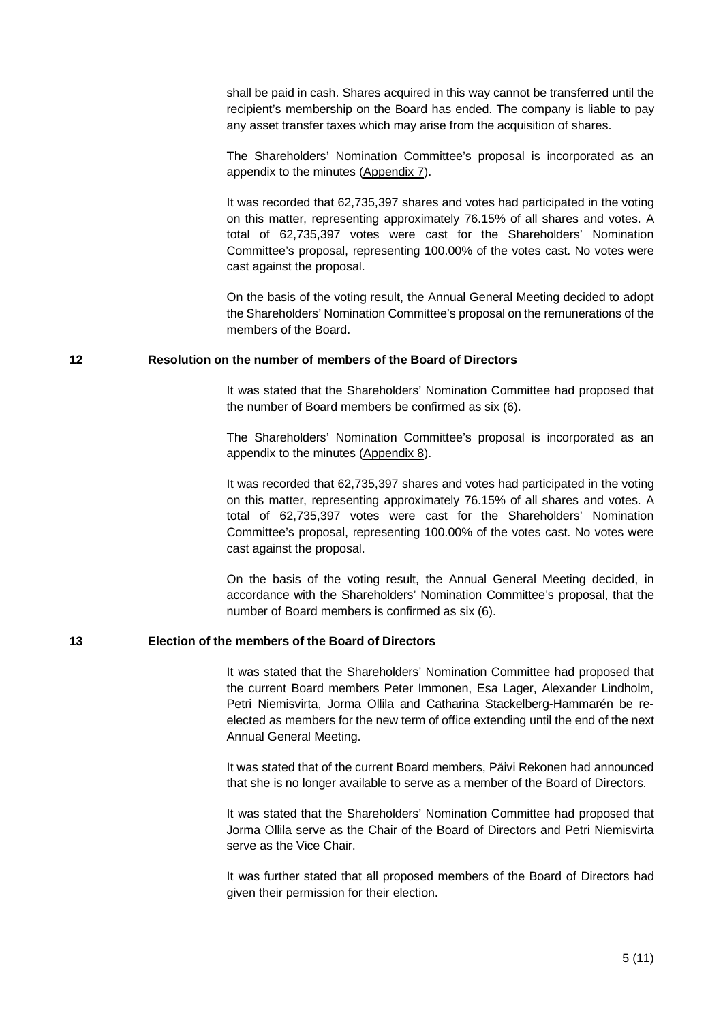shall be paid in cash. Shares acquired in this way cannot be transferred until the recipient's membership on the Board has ended. The company is liable to pay any asset transfer taxes which may arise from the acquisition of shares.

The Shareholders' Nomination Committee's proposal is incorporated as an appendix to the minutes (Appendix 7).

It was recorded that 62,735,397 shares and votes had participated in the voting on this matter, representing approximately 76.15% of all shares and votes. A total of 62,735,397 votes were cast for the Shareholders' Nomination Committee's proposal, representing 100.00% of the votes cast. No votes were cast against the proposal.

On the basis of the voting result, the Annual General Meeting decided to adopt the Shareholders' Nomination Committee's proposal on the remunerations of the members of the Board.

# **12 Resolution on the number of members of the Board of Directors**

It was stated that the Shareholders' Nomination Committee had proposed that the number of Board members be confirmed as six (6).

The Shareholders' Nomination Committee's proposal is incorporated as an appendix to the minutes (Appendix 8).

It was recorded that 62,735,397 shares and votes had participated in the voting on this matter, representing approximately 76.15% of all shares and votes. A total of 62,735,397 votes were cast for the Shareholders' Nomination Committee's proposal, representing 100.00% of the votes cast. No votes were cast against the proposal.

On the basis of the voting result, the Annual General Meeting decided, in accordance with the Shareholders' Nomination Committee's proposal, that the number of Board members is confirmed as six (6).

## **13 Election of the members of the Board of Directors**

It was stated that the Shareholders' Nomination Committee had proposed that the current Board members Peter Immonen, Esa Lager, Alexander Lindholm, Petri Niemisvirta, Jorma Ollila and Catharina Stackelberg-Hammarén be reelected as members for the new term of office extending until the end of the next Annual General Meeting.

It was stated that of the current Board members, Päivi Rekonen had announced that she is no longer available to serve as a member of the Board of Directors.

It was stated that the Shareholders' Nomination Committee had proposed that Jorma Ollila serve as the Chair of the Board of Directors and Petri Niemisvirta serve as the Vice Chair.

It was further stated that all proposed members of the Board of Directors had given their permission for their election.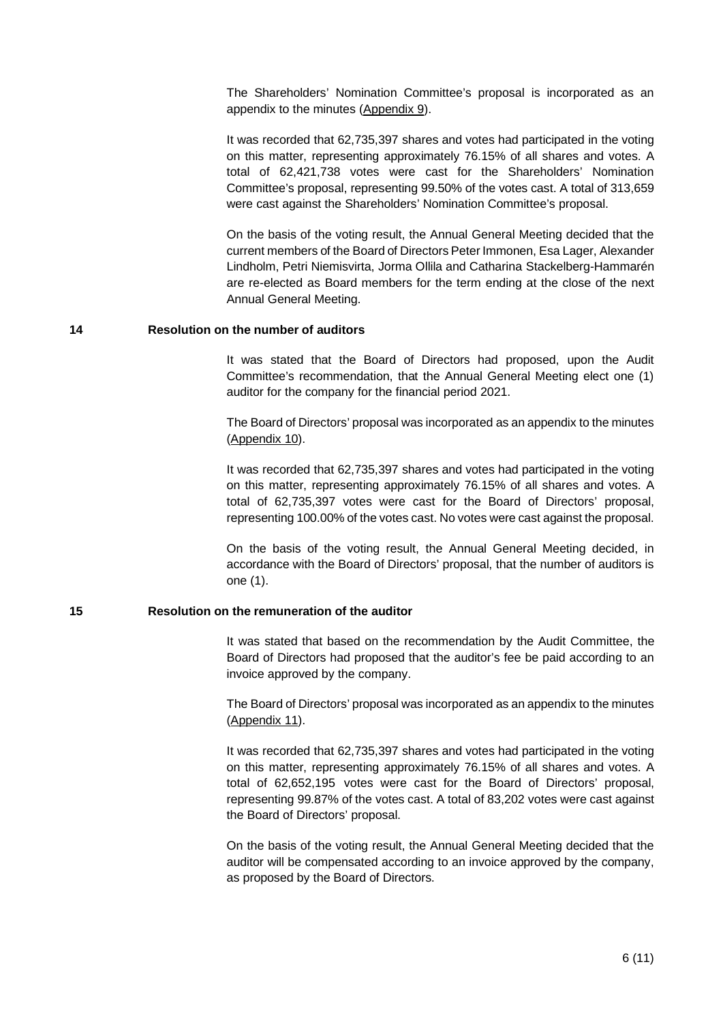The Shareholders' Nomination Committee's proposal is incorporated as an appendix to the minutes (Appendix 9).

It was recorded that 62,735,397 shares and votes had participated in the voting on this matter, representing approximately 76.15% of all shares and votes. A total of 62,421,738 votes were cast for the Shareholders' Nomination Committee's proposal, representing 99.50% of the votes cast. A total of 313,659 were cast against the Shareholders' Nomination Committee's proposal.

On the basis of the voting result, the Annual General Meeting decided that the current members of the Board of Directors Peter Immonen, Esa Lager, Alexander Lindholm, Petri Niemisvirta, Jorma Ollila and Catharina Stackelberg-Hammarén are re-elected as Board members for the term ending at the close of the next Annual General Meeting.

## **14 Resolution on the number of auditors**

It was stated that the Board of Directors had proposed, upon the Audit Committee's recommendation, that the Annual General Meeting elect one (1) auditor for the company for the financial period 2021.

The Board of Directors' proposal was incorporated as an appendix to the minutes (Appendix 10).

It was recorded that 62,735,397 shares and votes had participated in the voting on this matter, representing approximately 76.15% of all shares and votes. A total of 62,735,397 votes were cast for the Board of Directors' proposal, representing 100.00% of the votes cast. No votes were cast against the proposal.

On the basis of the voting result, the Annual General Meeting decided, in accordance with the Board of Directors' proposal, that the number of auditors is one (1).

### **15 Resolution on the remuneration of the auditor**

It was stated that based on the recommendation by the Audit Committee, the Board of Directors had proposed that the auditor's fee be paid according to an invoice approved by the company.

The Board of Directors' proposal was incorporated as an appendix to the minutes (Appendix 11).

It was recorded that 62,735,397 shares and votes had participated in the voting on this matter, representing approximately 76.15% of all shares and votes. A total of 62,652,195 votes were cast for the Board of Directors' proposal, representing 99.87% of the votes cast. A total of 83,202 votes were cast against the Board of Directors' proposal.

On the basis of the voting result, the Annual General Meeting decided that the auditor will be compensated according to an invoice approved by the company, as proposed by the Board of Directors.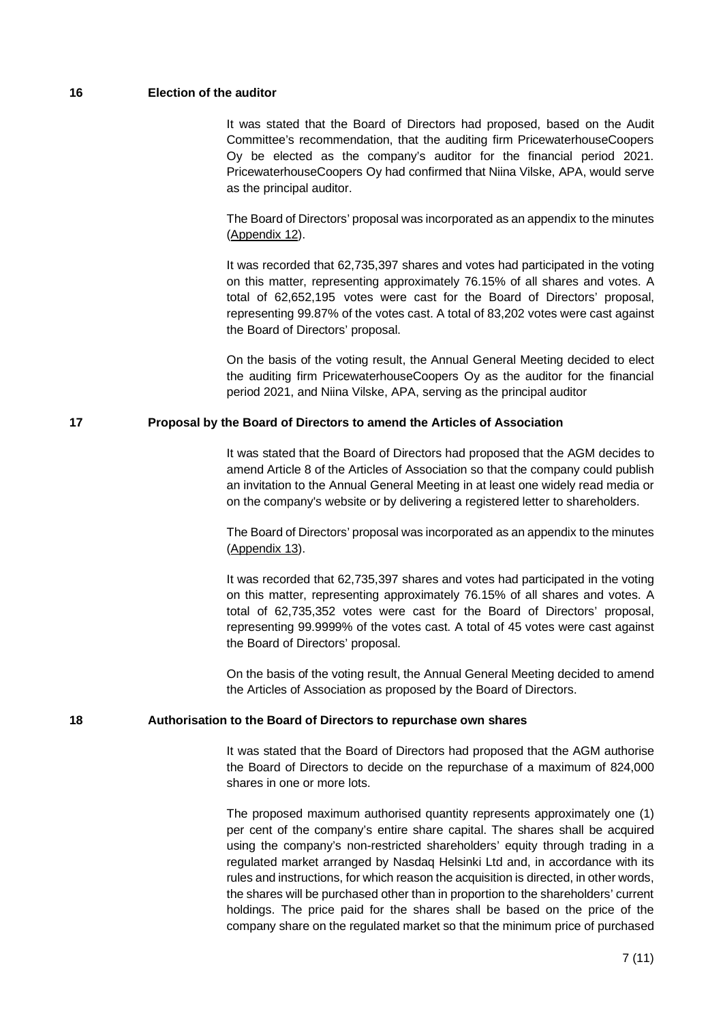# **16 Election of the auditor**

It was stated that the Board of Directors had proposed, based on the Audit Committee's recommendation, that the auditing firm PricewaterhouseCoopers Oy be elected as the company's auditor for the financial period 2021. PricewaterhouseCoopers Oy had confirmed that Niina Vilske, APA, would serve as the principal auditor.

The Board of Directors' proposal was incorporated as an appendix to the minutes (Appendix 12).

It was recorded that 62,735,397 shares and votes had participated in the voting on this matter, representing approximately 76.15% of all shares and votes. A total of 62,652,195 votes were cast for the Board of Directors' proposal, representing 99.87% of the votes cast. A total of 83,202 votes were cast against the Board of Directors' proposal.

On the basis of the voting result, the Annual General Meeting decided to elect the auditing firm PricewaterhouseCoopers Oy as the auditor for the financial period 2021, and Niina Vilske, APA, serving as the principal auditor

## **17 Proposal by the Board of Directors to amend the Articles of Association**

It was stated that the Board of Directors had proposed that the AGM decides to amend Article 8 of the Articles of Association so that the company could publish an invitation to the Annual General Meeting in at least one widely read media or on the company's website or by delivering a registered letter to shareholders.

The Board of Directors' proposal was incorporated as an appendix to the minutes (Appendix 13).

It was recorded that 62,735,397 shares and votes had participated in the voting on this matter, representing approximately 76.15% of all shares and votes. A total of 62,735,352 votes were cast for the Board of Directors' proposal, representing 99.9999% of the votes cast. A total of 45 votes were cast against the Board of Directors' proposal.

On the basis of the voting result, the Annual General Meeting decided to amend the Articles of Association as proposed by the Board of Directors.

#### **18 Authorisation to the Board of Directors to repurchase own shares**

It was stated that the Board of Directors had proposed that the AGM authorise the Board of Directors to decide on the repurchase of a maximum of 824,000 shares in one or more lots.

The proposed maximum authorised quantity represents approximately one (1) per cent of the company's entire share capital. The shares shall be acquired using the company's non-restricted shareholders' equity through trading in a regulated market arranged by Nasdaq Helsinki Ltd and, in accordance with its rules and instructions, for which reason the acquisition is directed, in other words, the shares will be purchased other than in proportion to the shareholders' current holdings. The price paid for the shares shall be based on the price of the company share on the regulated market so that the minimum price of purchased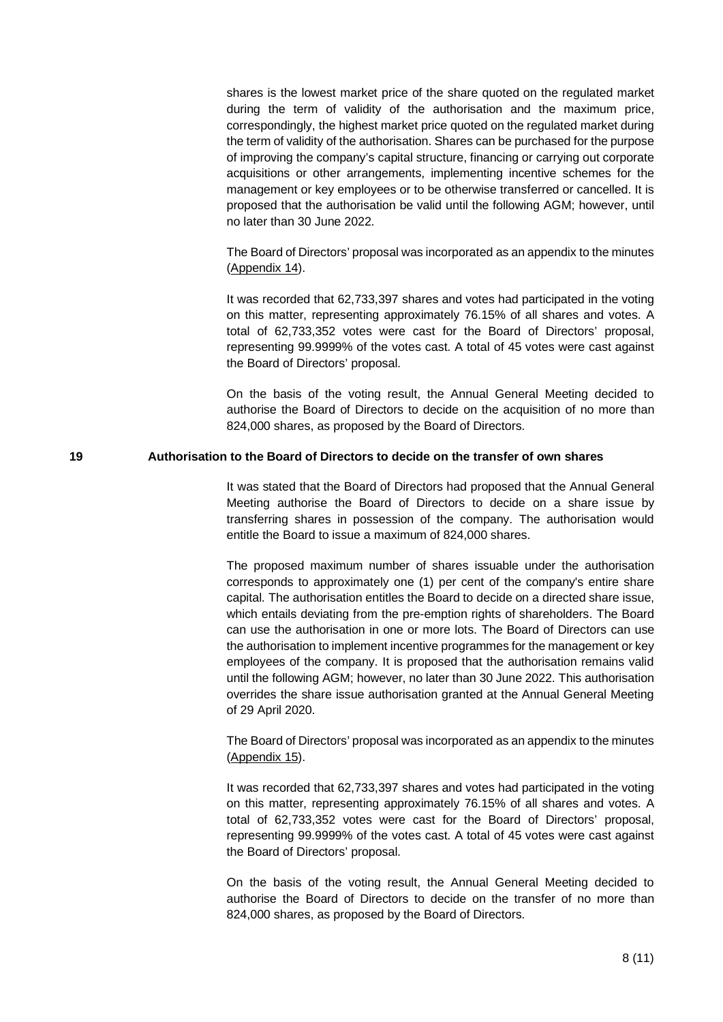shares is the lowest market price of the share quoted on the regulated market during the term of validity of the authorisation and the maximum price, correspondingly, the highest market price quoted on the regulated market during the term of validity of the authorisation. Shares can be purchased for the purpose of improving the company's capital structure, financing or carrying out corporate acquisitions or other arrangements, implementing incentive schemes for the management or key employees or to be otherwise transferred or cancelled. It is proposed that the authorisation be valid until the following AGM; however, until no later than 30 June 2022.

The Board of Directors' proposal was incorporated as an appendix to the minutes (Appendix 14).

It was recorded that 62,733,397 shares and votes had participated in the voting on this matter, representing approximately 76.15% of all shares and votes. A total of 62,733,352 votes were cast for the Board of Directors' proposal, representing 99.9999% of the votes cast. A total of 45 votes were cast against the Board of Directors' proposal.

On the basis of the voting result, the Annual General Meeting decided to authorise the Board of Directors to decide on the acquisition of no more than 824,000 shares, as proposed by the Board of Directors.

## **19 Authorisation to the Board of Directors to decide on the transfer of own shares**

It was stated that the Board of Directors had proposed that the Annual General Meeting authorise the Board of Directors to decide on a share issue by transferring shares in possession of the company. The authorisation would entitle the Board to issue a maximum of 824,000 shares.

The proposed maximum number of shares issuable under the authorisation corresponds to approximately one (1) per cent of the company's entire share capital. The authorisation entitles the Board to decide on a directed share issue, which entails deviating from the pre-emption rights of shareholders. The Board can use the authorisation in one or more lots. The Board of Directors can use the authorisation to implement incentive programmes for the management or key employees of the company. It is proposed that the authorisation remains valid until the following AGM; however, no later than 30 June 2022. This authorisation overrides the share issue authorisation granted at the Annual General Meeting of 29 April 2020.

The Board of Directors' proposal was incorporated as an appendix to the minutes (Appendix 15).

It was recorded that 62,733,397 shares and votes had participated in the voting on this matter, representing approximately 76.15% of all shares and votes. A total of 62,733,352 votes were cast for the Board of Directors' proposal, representing 99.9999% of the votes cast. A total of 45 votes were cast against the Board of Directors' proposal.

On the basis of the voting result, the Annual General Meeting decided to authorise the Board of Directors to decide on the transfer of no more than 824,000 shares, as proposed by the Board of Directors.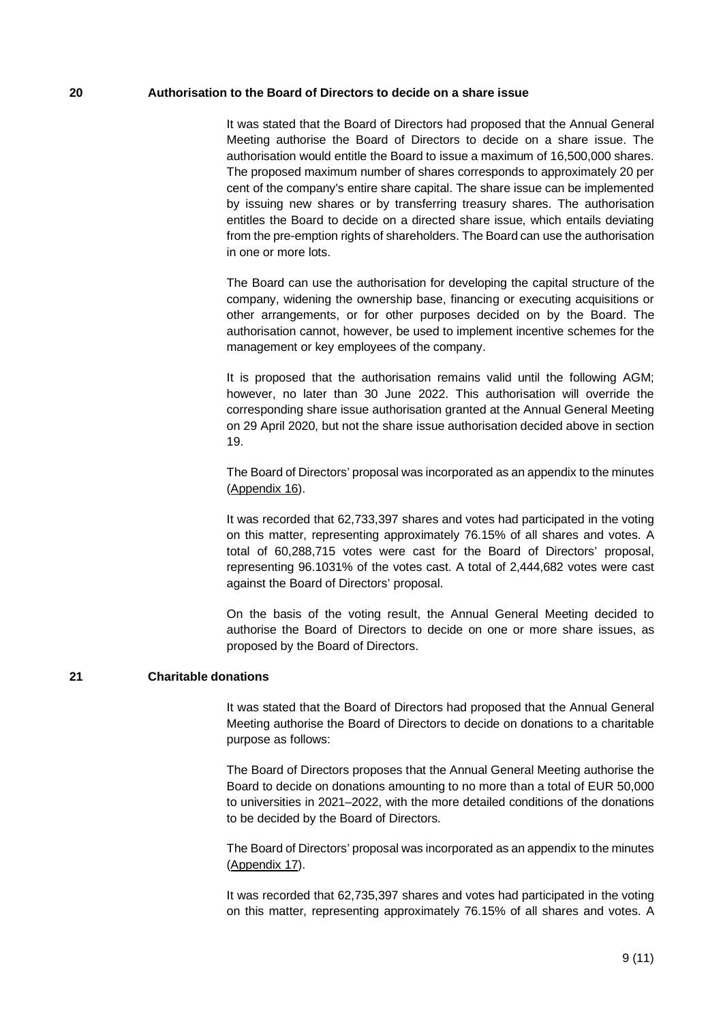### **20 Authorisation to the Board of Directors to decide on a share issue**

It was stated that the Board of Directors had proposed that the Annual General Meeting authorise the Board of Directors to decide on a share issue. The authorisation would entitle the Board to issue a maximum of 16,500,000 shares. The proposed maximum number of shares corresponds to approximately 20 per cent of the company's entire share capital. The share issue can be implemented by issuing new shares or by transferring treasury shares. The authorisation entitles the Board to decide on a directed share issue, which entails deviating from the pre-emption rights of shareholders. The Board can use the authorisation in one or more lots.

The Board can use the authorisation for developing the capital structure of the company, widening the ownership base, financing or executing acquisitions or other arrangements, or for other purposes decided on by the Board. The authorisation cannot, however, be used to implement incentive schemes for the management or key employees of the company.

It is proposed that the authorisation remains valid until the following AGM; however, no later than 30 June 2022. This authorisation will override the corresponding share issue authorisation granted at the Annual General Meeting on 29 April 2020, but not the share issue authorisation decided above in section 19.

The Board of Directors' proposal was incorporated as an appendix to the minutes (Appendix 16).

It was recorded that 62,733,397 shares and votes had participated in the voting on this matter, representing approximately 76.15% of all shares and votes. A total of 60,288,715 votes were cast for the Board of Directors' proposal, representing 96.1031% of the votes cast. A total of 2,444,682 votes were cast against the Board of Directors' proposal.

On the basis of the voting result, the Annual General Meeting decided to authorise the Board of Directors to decide on one or more share issues, as proposed by the Board of Directors.

## **21 Charitable donations**

It was stated that the Board of Directors had proposed that the Annual General Meeting authorise the Board of Directors to decide on donations to a charitable purpose as follows:

The Board of Directors proposes that the Annual General Meeting authorise the Board to decide on donations amounting to no more than a total of EUR 50,000 to universities in 2021–2022, with the more detailed conditions of the donations to be decided by the Board of Directors.

The Board of Directors' proposal was incorporated as an appendix to the minutes (Appendix 17).

It was recorded that 62,735,397 shares and votes had participated in the voting on this matter, representing approximately 76.15% of all shares and votes. A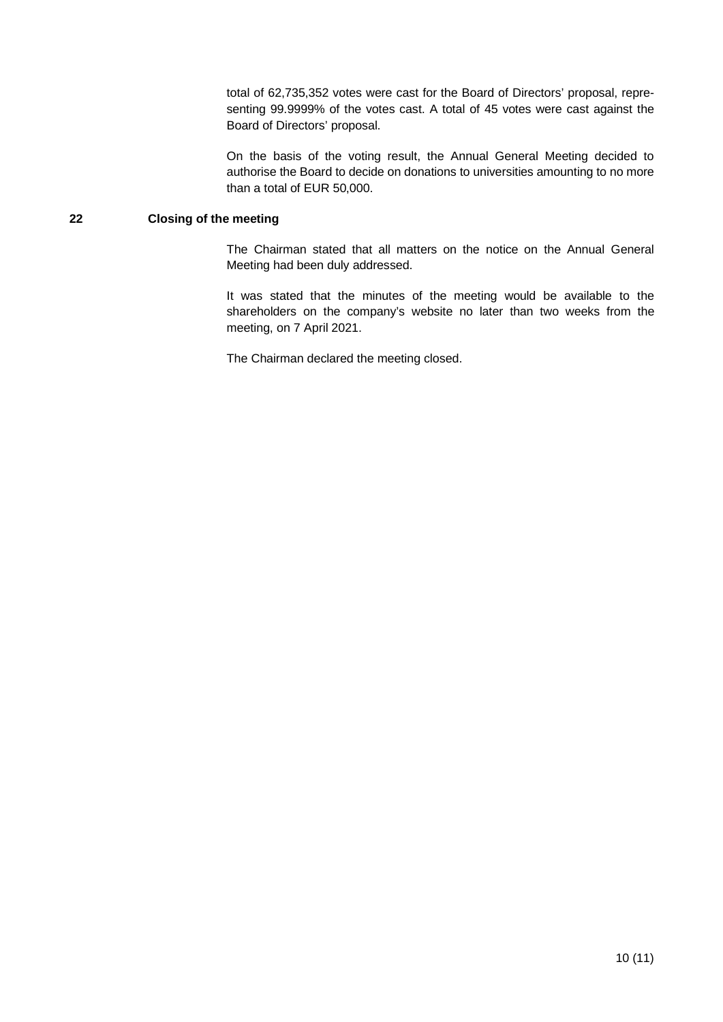total of 62,735,352 votes were cast for the Board of Directors' proposal, representing 99.9999% of the votes cast. A total of 45 votes were cast against the Board of Directors' proposal.

On the basis of the voting result, the Annual General Meeting decided to authorise the Board to decide on donations to universities amounting to no more than a total of EUR 50,000.

# **22 Closing of the meeting**

The Chairman stated that all matters on the notice on the Annual General Meeting had been duly addressed.

It was stated that the minutes of the meeting would be available to the shareholders on the company's website no later than two weeks from the meeting, on 7 April 2021.

The Chairman declared the meeting closed.